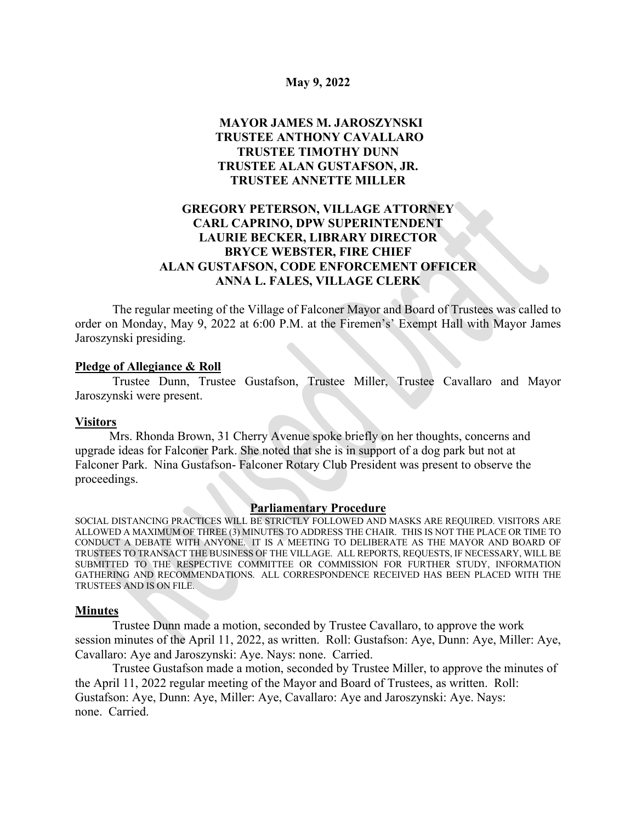#### **May 9, 2022**

# **MAYOR JAMES M. JAROSZYNSKI TRUSTEE ANTHONY CAVALLARO TRUSTEE TIMOTHY DUNN TRUSTEE ALAN GUSTAFSON, JR. TRUSTEE ANNETTE MILLER**

## **GREGORY PETERSON, VILLAGE ATTORNEY CARL CAPRINO, DPW SUPERINTENDENT LAURIE BECKER, LIBRARY DIRECTOR BRYCE WEBSTER, FIRE CHIEF ALAN GUSTAFSON, CODE ENFORCEMENT OFFICER ANNA L. FALES, VILLAGE CLERK**

The regular meeting of the Village of Falconer Mayor and Board of Trustees was called to order on Monday, May 9, 2022 at 6:00 P.M. at the Firemen's' Exempt Hall with Mayor James Jaroszynski presiding.

#### **Pledge of Allegiance & Roll**

Trustee Dunn, Trustee Gustafson, Trustee Miller, Trustee Cavallaro and Mayor Jaroszynski were present.

#### **Visitors**

 Mrs. Rhonda Brown, 31 Cherry Avenue spoke briefly on her thoughts, concerns and upgrade ideas for Falconer Park. She noted that she is in support of a dog park but not at Falconer Park. Nina Gustafson- Falconer Rotary Club President was present to observe the proceedings.

#### **Parliamentary Procedure**

SOCIAL DISTANCING PRACTICES WILL BE STRICTLY FOLLOWED AND MASKS ARE REQUIRED. VISITORS ARE ALLOWED A MAXIMUM OF THREE (3) MINUTES TO ADDRESS THE CHAIR. THIS IS NOT THE PLACE OR TIME TO CONDUCT A DEBATE WITH ANYONE. IT IS A MEETING TO DELIBERATE AS THE MAYOR AND BOARD OF TRUSTEES TO TRANSACT THE BUSINESS OF THE VILLAGE. ALL REPORTS, REQUESTS, IF NECESSARY, WILL BE SUBMITTED TO THE RESPECTIVE COMMITTEE OR COMMISSION FOR FURTHER STUDY, INFORMATION GATHERING AND RECOMMENDATIONS. ALL CORRESPONDENCE RECEIVED HAS BEEN PLACED WITH THE TRUSTEES AND IS ON FILE.

#### **Minutes**

Trustee Dunn made a motion, seconded by Trustee Cavallaro, to approve the work session minutes of the April 11, 2022, as written. Roll: Gustafson: Aye, Dunn: Aye, Miller: Aye, Cavallaro: Aye and Jaroszynski: Aye. Nays: none. Carried.

Trustee Gustafson made a motion, seconded by Trustee Miller, to approve the minutes of the April 11, 2022 regular meeting of the Mayor and Board of Trustees, as written. Roll: Gustafson: Aye, Dunn: Aye, Miller: Aye, Cavallaro: Aye and Jaroszynski: Aye. Nays: none. Carried.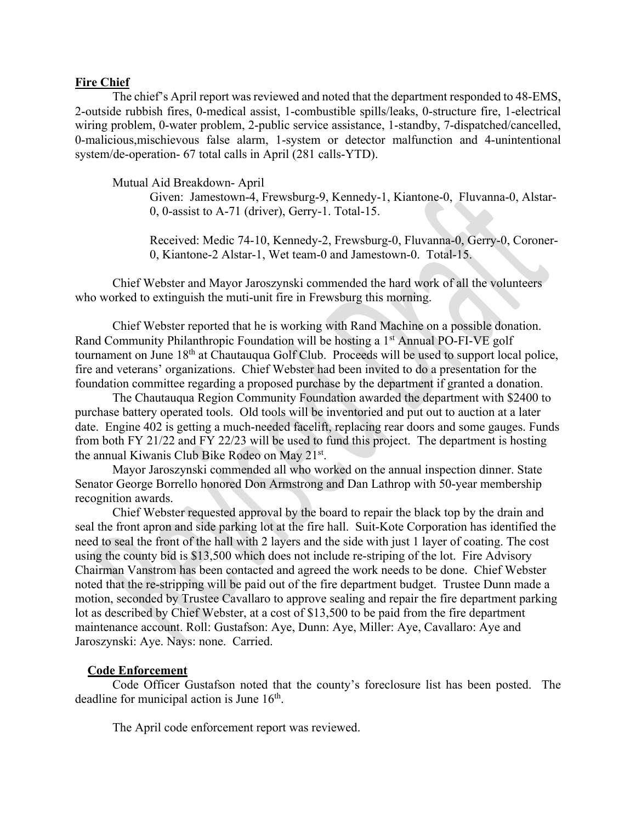#### **Fire Chief**

The chief's April report was reviewed and noted that the department responded to 48-EMS, 2-outside rubbish fires, 0-medical assist, 1-combustible spills/leaks, 0-structure fire, 1-electrical wiring problem, 0-water problem, 2-public service assistance, 1-standby, 7-dispatched/cancelled, 0-malicious,mischievous false alarm, 1-system or detector malfunction and 4-unintentional system/de-operation- 67 total calls in April (281 calls-YTD).

Mutual Aid Breakdown- April

Given: Jamestown-4, Frewsburg-9, Kennedy-1, Kiantone-0, Fluvanna-0, Alstar-0, 0-assist to A-71 (driver), Gerry-1. Total-15.

Received: Medic 74-10, Kennedy-2, Frewsburg-0, Fluvanna-0, Gerry-0, Coroner-0, Kiantone-2 Alstar-1, Wet team-0 and Jamestown-0. Total-15.

Chief Webster and Mayor Jaroszynski commended the hard work of all the volunteers who worked to extinguish the muti-unit fire in Frewsburg this morning.

Chief Webster reported that he is working with Rand Machine on a possible donation. Rand Community Philanthropic Foundation will be hosting a 1<sup>st</sup> Annual PO-FI-VE golf tournament on June 18<sup>th</sup> at Chautauqua Golf Club. Proceeds will be used to support local police, fire and veterans' organizations. Chief Webster had been invited to do a presentation for the foundation committee regarding a proposed purchase by the department if granted a donation.

The Chautauqua Region Community Foundation awarded the department with \$2400 to purchase battery operated tools. Old tools will be inventoried and put out to auction at a later date. Engine 402 is getting a much-needed facelift, replacing rear doors and some gauges. Funds from both FY 21/22 and FY 22/23 will be used to fund this project. The department is hosting the annual Kiwanis Club Bike Rodeo on May 21st.

Mayor Jaroszynski commended all who worked on the annual inspection dinner. State Senator George Borrello honored Don Armstrong and Dan Lathrop with 50-year membership recognition awards.

Chief Webster requested approval by the board to repair the black top by the drain and seal the front apron and side parking lot at the fire hall. Suit-Kote Corporation has identified the need to seal the front of the hall with 2 layers and the side with just 1 layer of coating. The cost using the county bid is \$13,500 which does not include re-striping of the lot. Fire Advisory Chairman Vanstrom has been contacted and agreed the work needs to be done. Chief Webster noted that the re-stripping will be paid out of the fire department budget. Trustee Dunn made a motion, seconded by Trustee Cavallaro to approve sealing and repair the fire department parking lot as described by Chief Webster, at a cost of \$13,500 to be paid from the fire department maintenance account. Roll: Gustafson: Aye, Dunn: Aye, Miller: Aye, Cavallaro: Aye and Jaroszynski: Aye. Nays: none. Carried.

#### **Code Enforcement**

Code Officer Gustafson noted that the county's foreclosure list has been posted. The deadline for municipal action is June 16<sup>th</sup>.

The April code enforcement report was reviewed.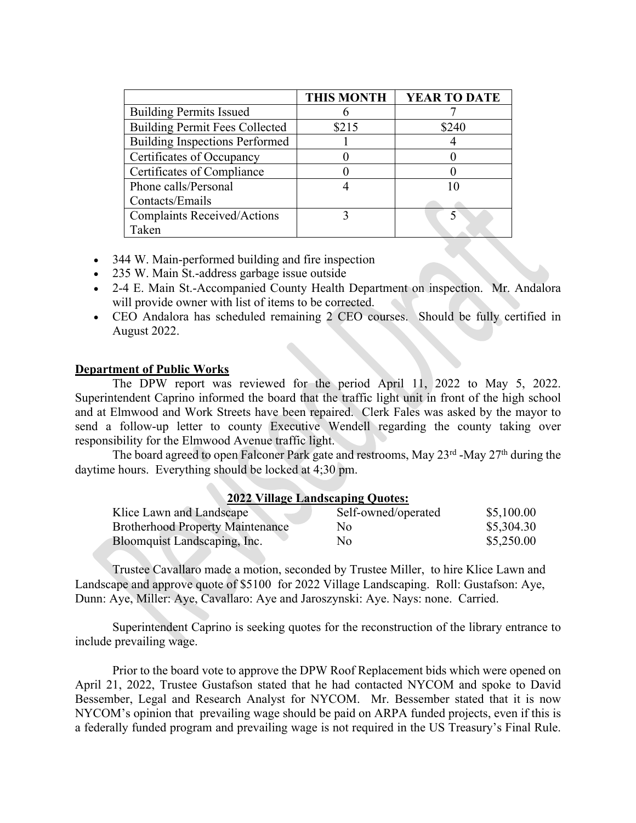|                                       | <b>THIS MONTH</b> | <b>YEAR TO DATE</b> |
|---------------------------------------|-------------------|---------------------|
| <b>Building Permits Issued</b>        |                   |                     |
| <b>Building Permit Fees Collected</b> | \$215             | \$240               |
| <b>Building Inspections Performed</b> |                   |                     |
| Certificates of Occupancy             |                   |                     |
| Certificates of Compliance            |                   |                     |
| Phone calls/Personal                  |                   |                     |
| Contacts/Emails                       |                   |                     |
| <b>Complaints Received/Actions</b>    |                   |                     |
| Taken                                 |                   |                     |

- 344 W. Main-performed building and fire inspection
- 235 W. Main St.-address garbage issue outside
- 2-4 E. Main St.-Accompanied County Health Department on inspection. Mr. Andalora will provide owner with list of items to be corrected.
- CEO Andalora has scheduled remaining 2 CEO courses. Should be fully certified in August 2022.

## **Department of Public Works**

The DPW report was reviewed for the period April 11, 2022 to May 5, 2022. Superintendent Caprino informed the board that the traffic light unit in front of the high school and at Elmwood and Work Streets have been repaired. Clerk Fales was asked by the mayor to send a follow-up letter to county Executive Wendell regarding the county taking over responsibility for the Elmwood Avenue traffic light.

The board agreed to open Falconer Park gate and restrooms, May  $23^{rd}$ -May  $27^{th}$  during the daytime hours. Everything should be locked at 4;30 pm.

## **2022 Village Landscaping Quotes:**

| Klice Lawn and Landscape                | Self-owned/operated | \$5,100.00 |
|-----------------------------------------|---------------------|------------|
| <b>Brotherhood Property Maintenance</b> | No                  | \$5,304.30 |
| Bloomquist Landscaping, Inc.            | Nο                  | \$5,250.00 |

Trustee Cavallaro made a motion, seconded by Trustee Miller, to hire Klice Lawn and Landscape and approve quote of \$5100 for 2022 Village Landscaping. Roll: Gustafson: Aye, Dunn: Aye, Miller: Aye, Cavallaro: Aye and Jaroszynski: Aye. Nays: none. Carried.

Superintendent Caprino is seeking quotes for the reconstruction of the library entrance to include prevailing wage.

Prior to the board vote to approve the DPW Roof Replacement bids which were opened on April 21, 2022, Trustee Gustafson stated that he had contacted NYCOM and spoke to David Bessember, Legal and Research Analyst for NYCOM. Mr. Bessember stated that it is now NYCOM's opinion that prevailing wage should be paid on ARPA funded projects, even if this is a federally funded program and prevailing wage is not required in the US Treasury's Final Rule.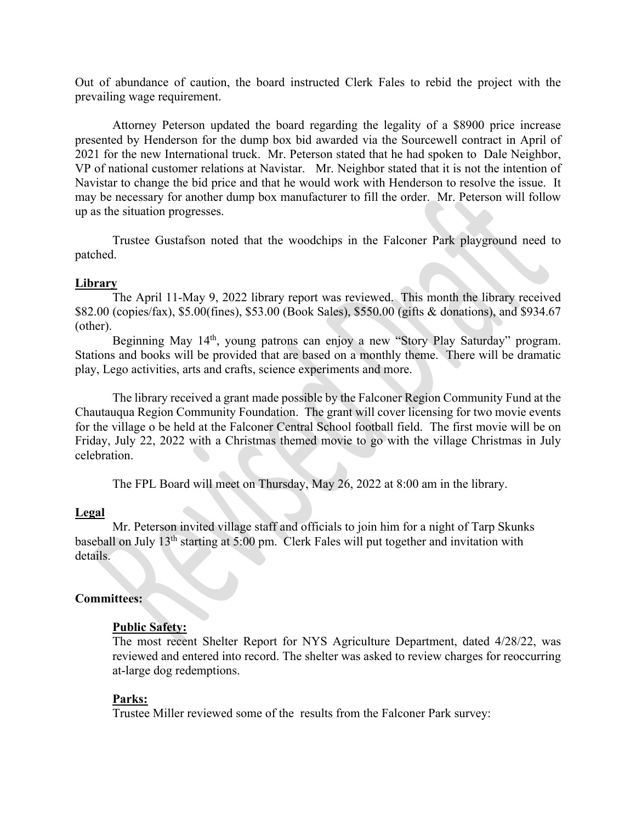Out of abundance of caution, the board instructed Clerk Fales to rebid the project with the prevailing wage requirement.

Attorney Peterson updated the board regarding the legality of a \$8900 price increase presented by Henderson for the dump box bid awarded via the Sourcewell contract in April of 2021 for the new International truck. Mr. Peterson stated that he had spoken to Dale Neighbor, VP of national customer relations at Navistar. Mr. Neighbor stated that it is not the intention of Navistar to change the bid price and that he would work with Henderson to resolve the issue. It may be necessary for another dump box manufacturer to fill the order. Mr. Peterson will follow up as the situation progresses.

Trustee Gustafson noted that the woodchips in the Falconer Park playground need to patched.

## **Library**

The April 11-May 9, 2022 library report was reviewed. This month the library received \$82.00 (copies/fax), \$5.00(fines), \$53.00 (Book Sales), \$550.00 (gifts & donations), and \$934.67 (other).

Beginning May 14<sup>th</sup>, young patrons can enjoy a new "Story Play Saturday" program. Stations and books will be provided that are based on a monthly theme. There will be dramatic play, Lego activities, arts and crafts, science experiments and more.

The library received a grant made possible by the Falconer Region Community Fund at the Chautauqua Region Community Foundation. The grant will cover licensing for two movie events for the village o be held at the Falconer Central School football field. The first movie will be on Friday, July 22, 2022 with a Christmas themed movie to go with the village Christmas in July celebration.

The FPL Board will meet on Thursday, May 26, 2022 at 8:00 am in the library.

## **Legal**

Mr. Peterson invited village staff and officials to join him for a night of Tarp Skunks baseball on July 13th starting at 5:00 pm. Clerk Fales will put together and invitation with details.

## **Committees:**

## **Public Safety:**

The most recent Shelter Report for NYS Agriculture Department, dated 4/28/22, was reviewed and entered into record. The shelter was asked to review charges for reoccurring at-large dog redemptions.

## **Parks:**

Trustee Miller reviewed some of the results from the Falconer Park survey: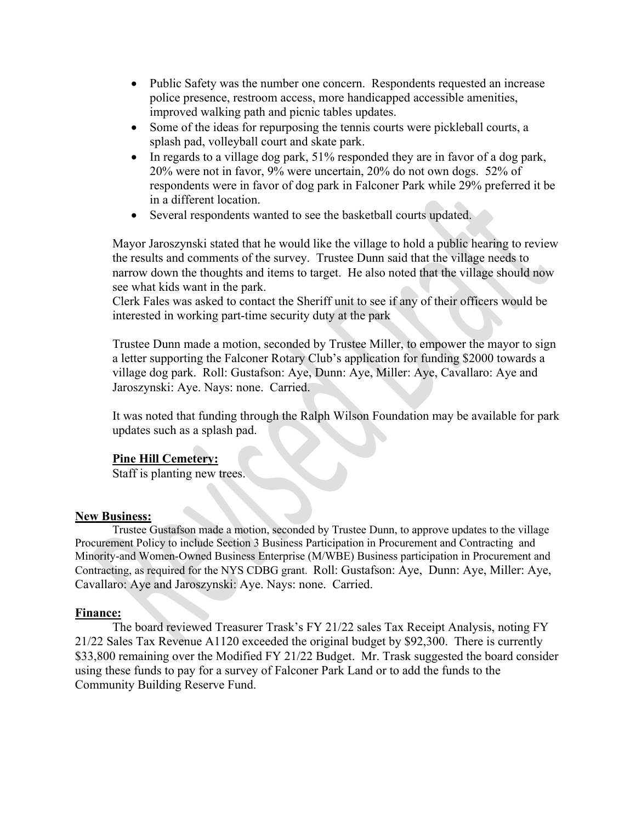- Public Safety was the number one concern. Respondents requested an increase police presence, restroom access, more handicapped accessible amenities, improved walking path and picnic tables updates.
- Some of the ideas for repurposing the tennis courts were pickleball courts, a splash pad, volleyball court and skate park.
- In regards to a village dog park, 51% responded they are in favor of a dog park, 20% were not in favor, 9% were uncertain, 20% do not own dogs. 52% of respondents were in favor of dog park in Falconer Park while 29% preferred it be in a different location.
- Several respondents wanted to see the basketball courts updated.

Mayor Jaroszynski stated that he would like the village to hold a public hearing to review the results and comments of the survey. Trustee Dunn said that the village needs to narrow down the thoughts and items to target. He also noted that the village should now see what kids want in the park.

Clerk Fales was asked to contact the Sheriff unit to see if any of their officers would be interested in working part-time security duty at the park

Trustee Dunn made a motion, seconded by Trustee Miller, to empower the mayor to sign a letter supporting the Falconer Rotary Club's application for funding \$2000 towards a village dog park. Roll: Gustafson: Aye, Dunn: Aye, Miller: Aye, Cavallaro: Aye and Jaroszynski: Aye. Nays: none. Carried.

It was noted that funding through the Ralph Wilson Foundation may be available for park updates such as a splash pad.

# **Pine Hill Cemetery:**

Staff is planting new trees.

## **New Business:**

Trustee Gustafson made a motion, seconded by Trustee Dunn, to approve updates to the village Procurement Policy to include Section 3 Business Participation in Procurement and Contracting and Minority-and Women-Owned Business Enterprise (M/WBE) Business participation in Procurement and Contracting, as required for the NYS CDBG grant. Roll: Gustafson: Aye, Dunn: Aye, Miller: Aye, Cavallaro: Aye and Jaroszynski: Aye. Nays: none. Carried.

## **Finance:**

The board reviewed Treasurer Trask's FY 21/22 sales Tax Receipt Analysis, noting FY 21/22 Sales Tax Revenue A1120 exceeded the original budget by \$92,300. There is currently \$33,800 remaining over the Modified FY 21/22 Budget. Mr. Trask suggested the board consider using these funds to pay for a survey of Falconer Park Land or to add the funds to the Community Building Reserve Fund.